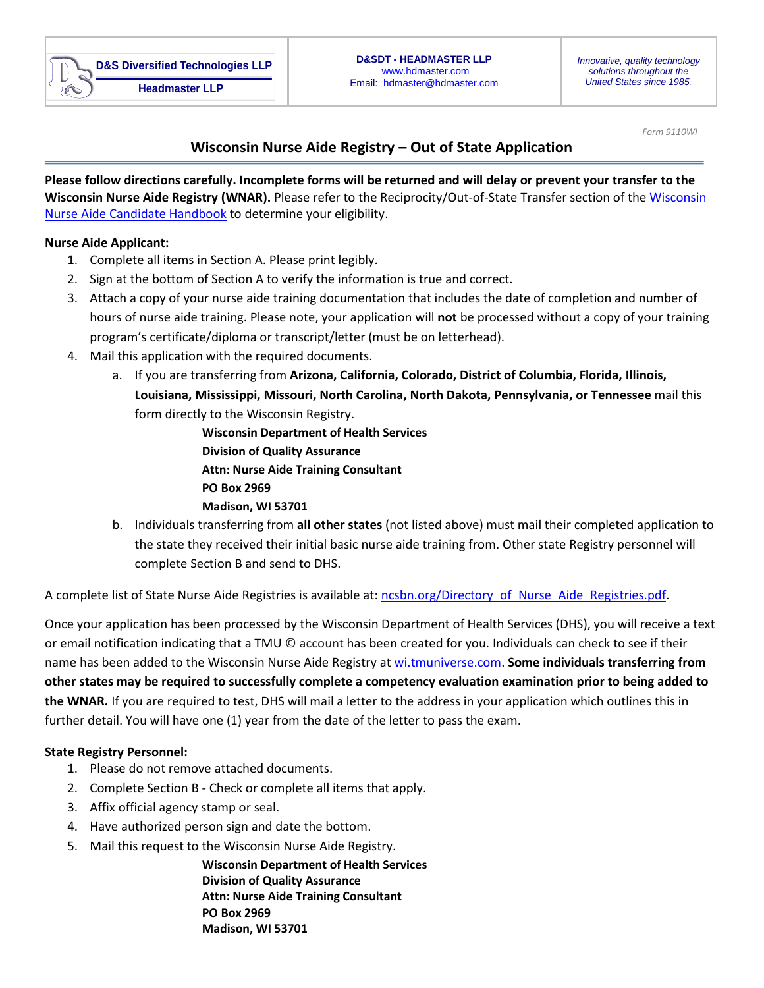

*Form 9110WI*

## **Wisconsin Nurse Aide Registry – Out of State Application**

**Please follow directions carefully. Incomplete forms will be returned and will delay or prevent your transfer to the Wisconsin Nurse Aide Registry (WNAR).** Please refer to the Reciprocity/Out-of-State Transfer section of th[e Wisconsin](http://hdmaster.com/testing/cnatesting/wisconsin/WIformpages/WIforms/WICandidateHandbook.pdf)  [Nurse Aide Candidate Handbook](http://hdmaster.com/testing/cnatesting/wisconsin/WIformpages/WIforms/WICandidateHandbook.pdf) to determine your eligibility.

## **Nurse Aide Applicant:**

- 1. Complete all items in Section A. Please print legibly.
- 2. Sign at the bottom of Section A to verify the information is true and correct.
- 3. Attach a copy of your nurse aide training documentation that includes the date of completion and number of hours of nurse aide training. Please note, your application will **not** be processed without a copy of your training program's certificate/diploma or transcript/letter (must be on letterhead).
- 4. Mail this application with the required documents.
	- a. If you are transferring from **Arizona, California, Colorado, District of Columbia, Florida, Illinois, Louisiana, Mississippi, Missouri, North Carolina, North Dakota, Pennsylvania, or Tennessee** mail this form directly to the Wisconsin Registry.

**Wisconsin Department of Health Services Division of Quality Assurance Attn: Nurse Aide Training Consultant PO Box 2969 Madison, WI 53701**

b. Individuals transferring from **all other states** (not listed above) must mail their completed application to the state they received their initial basic nurse aide training from. Other state Registry personnel will complete Section B and send to DHS.

A complete list of State Nurse Aide Registries is available at[: ncsbn.org/Directory\\_of\\_Nurse\\_Aide\\_Registries.pdf.](https://www.ncsbn.org/Directory_of_Nurse_Aide_Registries.pdf)

Once your application has been processed by the Wisconsin Department of Health Services (DHS), you will receive a text or email notification indicating that a TMU © account has been created for you. Individuals can check to see if their name has been added to the Wisconsin Nurse Aide Registry at [wi.tmuniverse.com.](https://wi.tmuniverse.com/) **Some individuals transferring from other states may be required to successfully complete a competency evaluation examination prior to being added to the WNAR.** If you are required to test, DHS will mail a letter to the address in your application which outlines this in further detail. You will have one (1) year from the date of the letter to pass the exam.

## **State Registry Personnel:**

- 1. Please do not remove attached documents.
- 2. Complete Section B Check or complete all items that apply.
- 3. Affix official agency stamp or seal.
- 4. Have authorized person sign and date the bottom.
- 5. Mail this request to the Wisconsin Nurse Aide Registry.

**Wisconsin Department of Health Services Division of Quality Assurance Attn: Nurse Aide Training Consultant PO Box 2969 Madison, WI 53701**